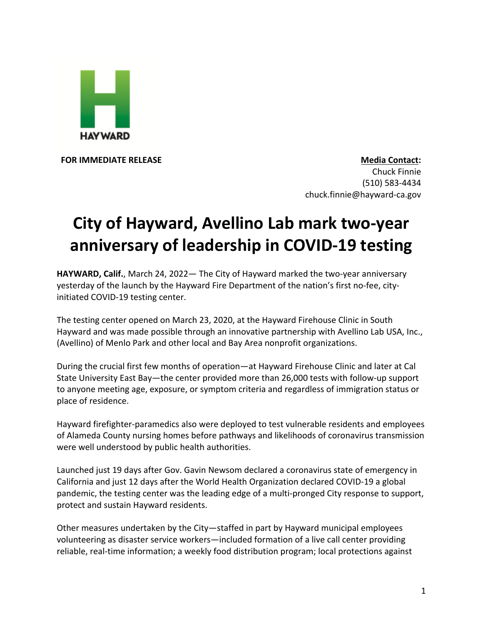

**FOR IMMEDIATE RELEASE Media Contact:** Chuck Finnie (510) 583-4434

chuck.finnie@hayward-ca.gov

## **City of Hayward, Avellino Lab mark two-year anniversary of leadership in COVID-19 testing**

**HAYWARD, Calif.**, March 24, 2022— The City of Hayward marked the two-year anniversary yesterday of the launch by the Hayward Fire Department of the nation's first no-fee, cityinitiated COVID-19 testing center.

The testing center opened on March 23, 2020, at the Hayward Firehouse Clinic in South Hayward and was made possible through an innovative partnership with Avellino Lab USA, Inc., (Avellino) of Menlo Park and other local and Bay Area nonprofit organizations.

During the crucial first few months of operation—at Hayward Firehouse Clinic and later at Cal State University East Bay—the center provided more than 26,000 tests with follow-up support to anyone meeting age, exposure, or symptom criteria and regardless of immigration status or place of residence.

Hayward firefighter-paramedics also were deployed to test vulnerable residents and employees of Alameda County nursing homes before pathways and likelihoods of coronavirus transmission were well understood by public health authorities.

Launched just 19 days after Gov. Gavin Newsom declared a coronavirus state of emergency in California and just 12 days after the World Health Organization declared COVID-19 a global pandemic, the testing center was the leading edge of a multi-pronged City response to support, protect and sustain Hayward residents.

Other measures undertaken by the City—staffed in part by Hayward municipal employees volunteering as disaster service workers—included formation of a live call center providing reliable, real-time information; a weekly food distribution program; local protections against